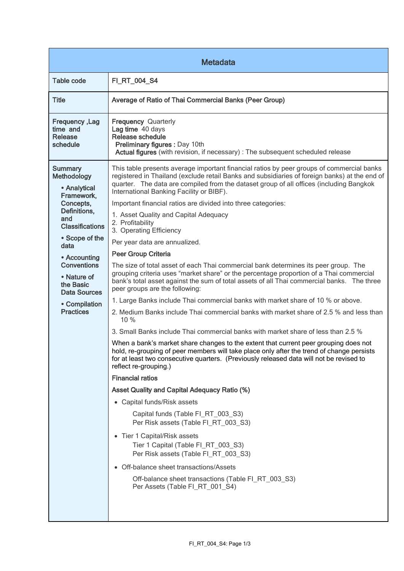| <b>Metadata</b>                                                                                                                                                                                                                                                                   |                                                                                                                                                                                                                                                                                                                                                                                                                                                                                                                                                                                                                                                                                                                                                                                                                                                                                                                                                                                                                                                                                                                                                                                                                                                                                                                                                                                                                                                                                                                                                                                                                                                                                                                                                                                                                                                                                                             |  |
|-----------------------------------------------------------------------------------------------------------------------------------------------------------------------------------------------------------------------------------------------------------------------------------|-------------------------------------------------------------------------------------------------------------------------------------------------------------------------------------------------------------------------------------------------------------------------------------------------------------------------------------------------------------------------------------------------------------------------------------------------------------------------------------------------------------------------------------------------------------------------------------------------------------------------------------------------------------------------------------------------------------------------------------------------------------------------------------------------------------------------------------------------------------------------------------------------------------------------------------------------------------------------------------------------------------------------------------------------------------------------------------------------------------------------------------------------------------------------------------------------------------------------------------------------------------------------------------------------------------------------------------------------------------------------------------------------------------------------------------------------------------------------------------------------------------------------------------------------------------------------------------------------------------------------------------------------------------------------------------------------------------------------------------------------------------------------------------------------------------------------------------------------------------------------------------------------------------|--|
| <b>Table code</b>                                                                                                                                                                                                                                                                 | FI_RT_004_S4                                                                                                                                                                                                                                                                                                                                                                                                                                                                                                                                                                                                                                                                                                                                                                                                                                                                                                                                                                                                                                                                                                                                                                                                                                                                                                                                                                                                                                                                                                                                                                                                                                                                                                                                                                                                                                                                                                |  |
| <b>Title</b>                                                                                                                                                                                                                                                                      | Average of Ratio of Thai Commercial Banks (Peer Group)                                                                                                                                                                                                                                                                                                                                                                                                                                                                                                                                                                                                                                                                                                                                                                                                                                                                                                                                                                                                                                                                                                                                                                                                                                                                                                                                                                                                                                                                                                                                                                                                                                                                                                                                                                                                                                                      |  |
| Frequency, Lag<br>time and<br>Release<br>schedule                                                                                                                                                                                                                                 | Frequency Quarterly<br>Lag time 40 days<br>Release schedule<br>Preliminary figures : Day 10th<br>Actual figures (with revision, if necessary) : The subsequent scheduled release                                                                                                                                                                                                                                                                                                                                                                                                                                                                                                                                                                                                                                                                                                                                                                                                                                                                                                                                                                                                                                                                                                                                                                                                                                                                                                                                                                                                                                                                                                                                                                                                                                                                                                                            |  |
| <b>Summary</b><br>Methodology<br>• Analytical<br>Framework,<br>Concepts,<br>Definitions,<br>and<br><b>Classifications</b><br>• Scope of the<br>data<br>• Accounting<br><b>Conventions</b><br>• Nature of<br>the Basic<br><b>Data Sources</b><br>• Compilation<br><b>Practices</b> | This table presents average important financial ratios by peer groups of commercial banks<br>registered in Thailand (exclude retail Banks and subsidiaries of foreign banks) at the end of<br>quarter. The data are compiled from the dataset group of all offices (including Bangkok<br>International Banking Facility or BIBF).<br>Important financial ratios are divided into three categories:<br>1. Asset Quality and Capital Adequacy<br>2. Profitability<br>3. Operating Efficiency<br>Per year data are annualized.<br>Peer Group Criteria<br>The size of total asset of each Thai commercial bank determines its peer group. The<br>grouping criteria uses "market share" or the percentage proportion of a Thai commercial<br>bank's total asset against the sum of total assets of all Thai commercial banks. The three<br>peer groups are the following:<br>1. Large Banks include Thai commercial banks with market share of 10 % or above.<br>2. Medium Banks include Thai commercial banks with market share of 2.5 % and less than<br>10 %<br>3. Small Banks include Thai commercial banks with market share of less than 2.5 %<br>When a bank's market share changes to the extent that current peer grouping does not<br>hold, re-grouping of peer members will take place only after the trend of change persists<br>for at least two consecutive quarters. (Previously released data will not be revised to<br>reflect re-grouping.)<br><b>Financial ratios</b><br><b>Asset Quality and Capital Adequacy Ratio (%)</b><br>• Capital funds/Risk assets<br>Capital funds (Table FI_RT_003_S3)<br>Per Risk assets (Table FI_RT_003_S3)<br>• Tier 1 Capital/Risk assets<br>Tier 1 Capital (Table FI_RT_003_S3)<br>Per Risk assets (Table FI_RT_003_S3)<br>• Off-balance sheet transactions/Assets<br>Off-balance sheet transactions (Table FI_RT_003_S3)<br>Per Assets (Table FI_RT_001_S4) |  |
|                                                                                                                                                                                                                                                                                   |                                                                                                                                                                                                                                                                                                                                                                                                                                                                                                                                                                                                                                                                                                                                                                                                                                                                                                                                                                                                                                                                                                                                                                                                                                                                                                                                                                                                                                                                                                                                                                                                                                                                                                                                                                                                                                                                                                             |  |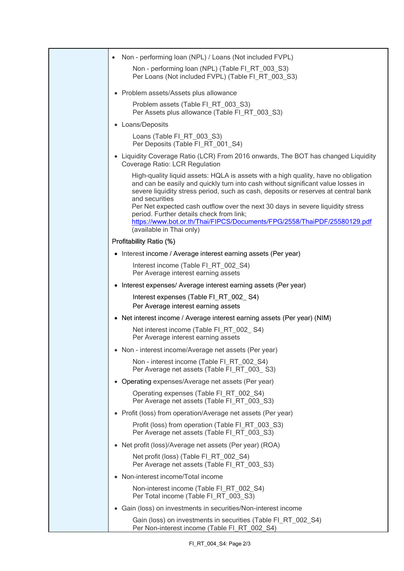| Non - performing loan (NPL) / Loans (Not included FVPL)                                                                                                                                                                                                                                                                                                                                                                                                                                                              |
|----------------------------------------------------------------------------------------------------------------------------------------------------------------------------------------------------------------------------------------------------------------------------------------------------------------------------------------------------------------------------------------------------------------------------------------------------------------------------------------------------------------------|
| Non - performing loan (NPL) (Table FI_RT_003_S3)<br>Per Loans (Not included FVPL) (Table FI RT 003 S3)                                                                                                                                                                                                                                                                                                                                                                                                               |
| • Problem assets/Assets plus allowance                                                                                                                                                                                                                                                                                                                                                                                                                                                                               |
| Problem assets (Table FI_RT_003_S3)<br>Per Assets plus allowance (Table FI RT 003 S3)                                                                                                                                                                                                                                                                                                                                                                                                                                |
| • Loans/Deposits                                                                                                                                                                                                                                                                                                                                                                                                                                                                                                     |
| Loans (Table FI_RT_003_S3)<br>Per Deposits (Table FI RT 001 S4)                                                                                                                                                                                                                                                                                                                                                                                                                                                      |
| • Liquidity Coverage Ratio (LCR) From 2016 onwards, The BOT has changed Liquidity<br>Coverage Ratio: LCR Regulation                                                                                                                                                                                                                                                                                                                                                                                                  |
| High-quality liquid assets: HQLA is assets with a high quality, have no obligation<br>and can be easily and quickly turn into cash without significant value losses in<br>severe liquidity stress period, such as cash, deposits or reserves at central bank<br>and securities<br>Per Net expected cash outflow over the next 30 days in severe liquidity stress<br>period. Further details check from link;<br>https://www.bot.or.th/Thai/FIPCS/Documents/FPG/2558/ThaiPDF/25580129.pdf<br>(available in Thai only) |
| <b>Profitability Ratio (%)</b>                                                                                                                                                                                                                                                                                                                                                                                                                                                                                       |
| • Interest income / Average interest earning assets (Per year)                                                                                                                                                                                                                                                                                                                                                                                                                                                       |
| Interest income (Table FI_RT_002_S4)<br>Per Average interest earning assets                                                                                                                                                                                                                                                                                                                                                                                                                                          |
| • Interest expenses/ Average interest earning assets (Per year)                                                                                                                                                                                                                                                                                                                                                                                                                                                      |
| Interest expenses (Table FI_RT_002_S4)<br>Per Average interest earning assets                                                                                                                                                                                                                                                                                                                                                                                                                                        |
| • Net interest income / Average interest earning assets (Per year) (NIM)                                                                                                                                                                                                                                                                                                                                                                                                                                             |
| Net interest income (Table FI_RT_002_S4)<br>Per Average interest earning assets                                                                                                                                                                                                                                                                                                                                                                                                                                      |
| • Non - interest income/Average net assets (Per year)                                                                                                                                                                                                                                                                                                                                                                                                                                                                |
| Non - interest income (Table FI_RT_002_S4)<br>Per Average net assets (Table FI RT 003 S3)                                                                                                                                                                                                                                                                                                                                                                                                                            |
| • Operating expenses/Average net assets (Per year)                                                                                                                                                                                                                                                                                                                                                                                                                                                                   |
| Operating expenses (Table FI_RT_002_S4)<br>Per Average net assets (Table FI_RT_003_S3)                                                                                                                                                                                                                                                                                                                                                                                                                               |
| • Profit (loss) from operation/Average net assets (Per year)                                                                                                                                                                                                                                                                                                                                                                                                                                                         |
| Profit (loss) from operation (Table FI_RT_003_S3)<br>Per Average net assets (Table FI_RT_003_S3)                                                                                                                                                                                                                                                                                                                                                                                                                     |
| • Net profit (loss)/Average net assets (Per year) (ROA)                                                                                                                                                                                                                                                                                                                                                                                                                                                              |
| Net profit (loss) (Table FI_RT_002_S4)<br>Per Average net assets (Table FI_RT_003_S3)                                                                                                                                                                                                                                                                                                                                                                                                                                |
| • Non-interest income/Total income                                                                                                                                                                                                                                                                                                                                                                                                                                                                                   |
| Non-interest income (Table FI_RT_002_S4)<br>Per Total income (Table FI_RT_003_S3)                                                                                                                                                                                                                                                                                                                                                                                                                                    |
| • Gain (loss) on investments in securities/Non-interest income                                                                                                                                                                                                                                                                                                                                                                                                                                                       |
| Gain (loss) on investments in securities (Table FI_RT_002_S4)<br>Per Non-interest income (Table FI_RT_002_S4)                                                                                                                                                                                                                                                                                                                                                                                                        |